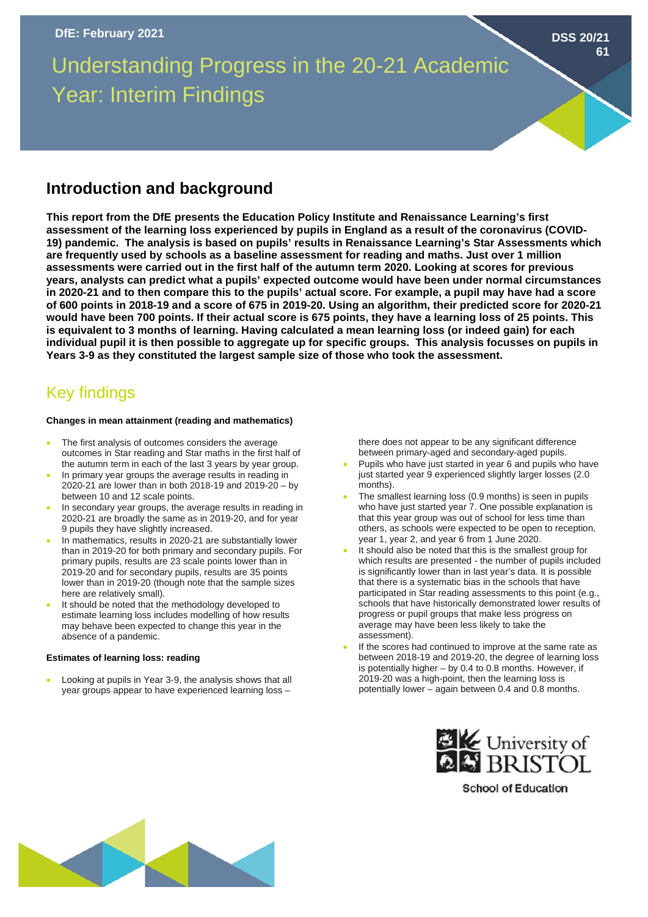# Understanding Progress in the 20-21 Academic Year: Interim Findings

### **Introduction and background**

**This report from the DfE presents the Education Policy Institute and Renaissance Learning's first assessment of the learning loss experienced by pupils in England as a result of the coronavirus (COVID-19) pandemic. The analysis is based on pupils' results in Renaissance Learning's Star Assessments which are frequently used by schools as a baseline assessment for reading and maths. Just over 1 million assessments were carried out in the first half of the autumn term 2020. Looking at scores for previous years, analysts can predict what a pupils' expected outcome would have been under normal circumstances in 2020-21 and to then compare this to the pupils' actual score. For example, a pupil may have had a score of 600 points in 2018-19 and a score of 675 in 2019-20. Using an algorithm, their predicted score for 2020-21 would have been 700 points. If their actual score is 675 points, they have a learning loss of 25 points. This is equivalent to 3 months of learning. Having calculated a mean learning loss (or indeed gain) for each individual pupil it is then possible to aggregate up for specific groups. This analysis focusses on pupils in Years 3-9 as they constituted the largest sample size of those who took the assessment.**

## Key findings

#### **Changes in mean attainment (reading and mathematics)**

- The first analysis of outcomes considers the average outcomes in Star reading and Star maths in the first half of the autumn term in each of the last 3 years by year group.
- In primary year groups the average results in reading in 2020-21 are lower than in both 2018-19 and 2019-20 – by between 10 and 12 scale points.
- In secondary year groups, the average results in reading in 2020-21 are broadly the same as in 2019-20, and for year 9 pupils they have slightly increased.
- In mathematics, results in 2020-21 are substantially lower than in 2019-20 for both primary and secondary pupils. For primary pupils, results are 23 scale points lower than in 2019-20 and for secondary pupils, results are 35 points lower than in 2019-20 (though note that the sample sizes here are relatively small).
- It should be noted that the methodology developed to estimate learning loss includes modelling of how results may behave been expected to change this year in the absence of a pandemic.

#### **Estimates of learning loss: reading**

• Looking at pupils in Year 3-9, the analysis shows that all year groups appear to have experienced learning loss –

there does not appear to be any significant difference between primary-aged and secondary-aged pupils.

- Pupils who have just started in year 6 and pupils who have just started year 9 experienced slightly larger losses (2.0 months).
- The smallest learning loss (0.9 months) is seen in pupils who have just started year 7. One possible explanation is that this year group was out of school for less time than others, as schools were expected to be open to reception, year 1, year 2, and year 6 from 1 June 2020.
- It should also be noted that this is the smallest group for which results are presented - the number of pupils included is significantly lower than in last year's data. It is possible that there is a systematic bias in the schools that have participated in Star reading assessments to this point (e.g., schools that have historically demonstrated lower results of progress or pupil groups that make less progress on average may have been less likely to take the assessment).
- If the scores had continued to improve at the same rate as between 2018-19 and 2019-20, the degree of learning loss is potentially higher – by 0.4 to 0.8 months. However, if 2019-20 was a high-point, then the learning loss is potentially lower – again between 0.4 and 0.8 months.



**School of Education** 



**DSS 20/21**

**61**